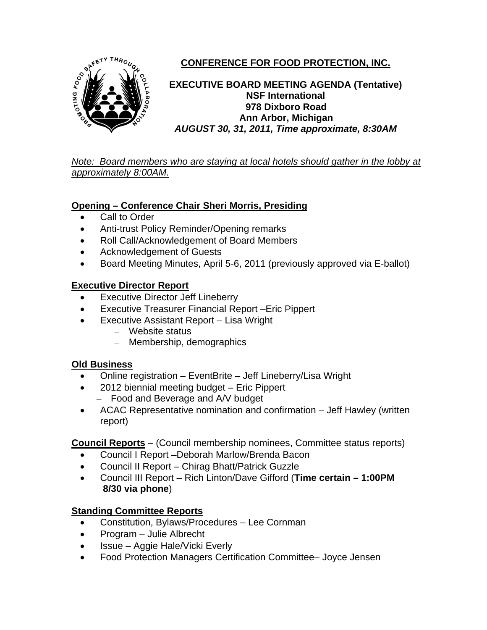

# **CONFERENCE FOR FOOD PROTECTION, INC.**

**EXECUTIVE BOARD MEETING AGENDA (Tentative) NSF International 978 Dixboro Road Ann Arbor, Michigan**  *AUGUST 30, 31, 2011, Time approximate, 8:30AM* 

*Note: Board members who are staying at local hotels should gather in the lobby at approximately 8:00AM.*

## **Opening – Conference Chair Sheri Morris, Presiding**

- Call to Order
- Anti-trust Policy Reminder/Opening remarks
- Roll Call/Acknowledgement of Board Members
- Acknowledgement of Guests
- Board Meeting Minutes, April 5-6, 2011 (previously approved via E-ballot)

## **Executive Director Report**

- **Executive Director Jeff Lineberry**
- Executive Treasurer Financial Report –Eric Pippert
- Executive Assistant Report Lisa Wright
	- Website status
	- Membership, demographics

## **Old Business**

- Online registration EventBrite Jeff Lineberry/Lisa Wright
- 2012 biennial meeting budget Eric Pippert
	- Food and Beverage and A/V budget
- ACAC Representative nomination and confirmation Jeff Hawley (written report)

## **Council Reports** – (Council membership nominees, Committee status reports)

- Council I Report –Deborah Marlow/Brenda Bacon
- Council II Report Chirag Bhatt/Patrick Guzzle
- Council III Report Rich Linton/Dave Gifford (**Time certain 1:00PM 8/30 via phone**)

# **Standing Committee Reports**

- Constitution, Bylaws/Procedures Lee Cornman
- Program Julie Albrecht
- Issue Aggie Hale/Vicki Everly
- Food Protection Managers Certification Committee– Joyce Jensen